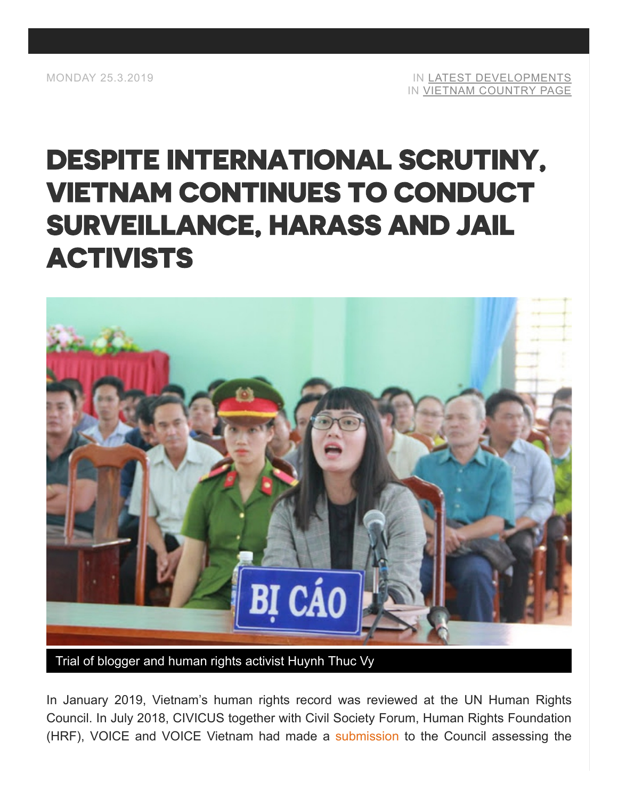# [DESPITE INTERNATIONAL SCRUTINY,](https://monitor.civicus.org/updates/2019/03/25/despite-international-scrutiny-vietnam-continues-conduct-surveillance-harass-and-jail-activists/) VIETNAM CONTINUES TO CONDUCT SURVEILLANCE, HARASS AND JAIL ACTIVISTS



Trial of blogger and human rights activist Huynh Thuc Vy

In January 2019, Vietnam's human rights record was reviewed at the UN Human Rights Council. In July 2018, CIVICUS together with Civil Society Forum, Human Rights Foundation (HRF), VOICE and VOICE Vietnam had made a [submission](https://civicus.org/documents/JointCIVICUSUPRSubmissonVietnam.pdf) to the Council assessing the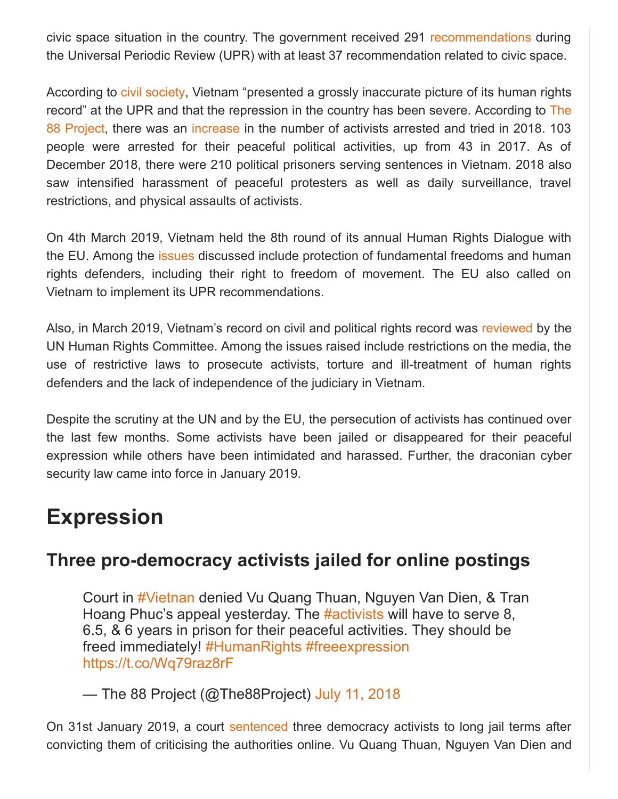civic space situation in the country. The government received 291 [recommendations](https://www.upr-info.org/sites/default/files/document/viet_nam/session_32_-_january_2019/a_hrc_wg.6_32_l.4.pdf) during the Universal Periodic Review (UPR) with at least 37 recommendation related to civic space.

According to [civil society](https://www.hrw.org/news/2019/02/01/vietnam-hanoi-misleads-un-rights-record), Vietnam "presented a grossly inaccurate picture of its human rights [record" at the UPR and that the repression in the country has been severe. According to](https://the88project.org/) The 88 Project, there was an [increase](https://the88project.org/2018/12/23/2018-recap-of-the-impacts-of-vietnams-continued-crackdown-on-dissent-nationwide-peaceful-protests-quelled-and-political-activists-jailed-for-decades-in-worsening-conditions/) in the number of activists arrested and tried in 2018. 103 people were arrested for their peaceful political activities, up from 43 in 2017. As of December 2018, there were 210 political prisoners serving sentences in Vietnam. 2018 also saw intensified harassment of peaceful protesters as well as daily surveillance, travel restrictions, and physical assaults of activists.

On 4th March 2019, Vietnam held the 8th round of its annual Human Rights Dialogue with the EU. Among the [issues](https://eeas.europa.eu/headquarters/headquarters-homepage/59036/8th-eu-vietnam-human-rights-dialogue_en) discussed include protection of fundamental freedoms and human rights defenders, including their right to freedom of movement. The EU also called on Vietnam to implement its UPR recommendations.

Also, in March 2019, Vietnam's record on civil and political rights record was [reviewed](https://www.thevietnamese.org/2019/03/latest-review-under-un-human-rights-treaty-body-highlighted-vietnams-dismal-records/) by the UN Human Rights Committee. Among the issues raised include restrictions on the media, the use of restrictive laws to prosecute activists, torture and ill-treatment of human rights defenders and the lack of independence of the judiciary in Vietnam.

Despite the scrutiny at the UN and by the EU, the persecution of activists has continued over the last few months. Some activists have been jailed or disappeared for their peaceful expression while others have been intimidated and harassed. Further, the draconian cyber security law came into force in January 2019.

### **Expression**

### **Three pro-democracy activists jailed for online postings**

Court in [#Vietnan](https://twitter.com/hashtag/Vietnan?src=hash&ref_src=twsrc%5Etfw) denied Vu Quang Thuan, Nguyen Van Dien, & Tran Hoang Phuc's appeal yesterday. The [#activists](https://twitter.com/hashtag/activists?src=hash&ref_src=twsrc%5Etfw) will have to serve 8, 6.5, & 6 years in prison for their peaceful activities. They should be freed immediately! [#HumanRights](https://twitter.com/hashtag/HumanRights?src=hash&ref_src=twsrc%5Etfw) [#freeexpression](https://twitter.com/hashtag/freeexpression?src=hash&ref_src=twsrc%5Etfw) <https://t.co/Wq79raz8rF>

— The 88 Project (@The88Project) [July 11, 2018](https://twitter.com/The88Project/status/1017096356429778951?ref_src=twsrc%5Etfw)

On 31st January 2019, a court [sentenced](https://www.rfa.org/english/news/vietnam/postings-01312018165759.html) three democracy activists to long jail terms after convicting them of criticising the authorities online. Vu Quang Thuan, Nguyen Van Dien and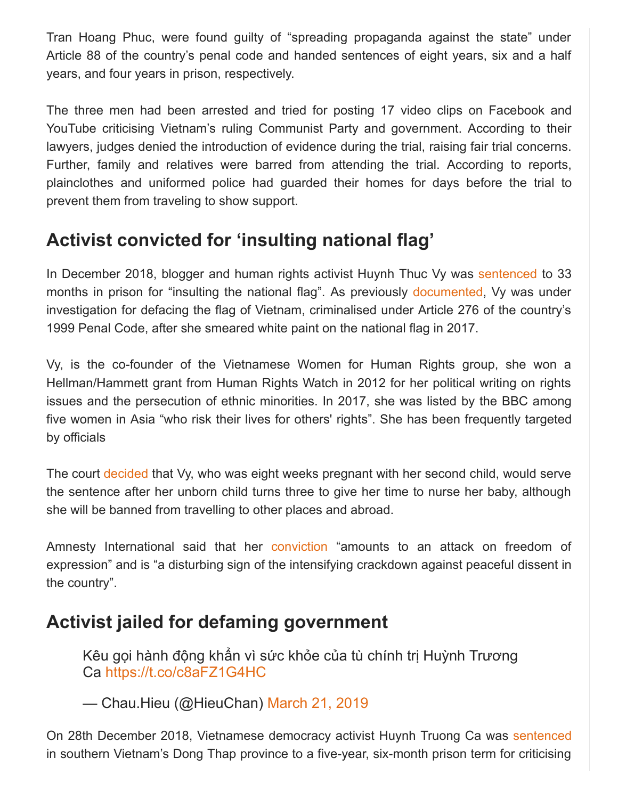Tran Hoang Phuc, were found guilty of "spreading propaganda against the state" under Article 88 of the country's penal code and handed sentences of eight years, six and a half years, and four years in prison, respectively.

The three men had been arrested and tried for posting 17 video clips on Facebook and YouTube criticising Vietnam's ruling Communist Party and government. According to their lawyers, judges denied the introduction of evidence during the trial, raising fair trial concerns. Further, family and relatives were barred from attending the trial. According to reports, plainclothes and uniformed police had guarded their homes for days before the trial to prevent them from traveling to show support.

### **Activist convicted for 'insulting national flag'**

In December 2018, blogger and human rights activist Huynh Thuc Vy was [sentenced](https://www.ucanews.com/news/catholic-dissident-jailed-for-defacing-vietnam-flags/84006) to 33 months in prison for "insulting the national flag". As previously [documented](https://monitor.civicus.org/newsfeed/2018/11/20/civil-society-highlights-torture-and-ill-treatment-activists-un-review/), Vy was under investigation for defacing the flag of Vietnam, criminalised under Article 276 of the country's 1999 Penal Code, after she smeared white paint on the national flag in 2017.

Vy, is the co-founder of the Vietnamese Women for Human Rights group, she won a Hellman/Hammett grant from Human Rights Watch in 2012 for her political writing on rights issues and the persecution of ethnic minorities. In 2017, she was listed by the BBC among five women in Asia "who risk their lives for others' rights". She has been frequently targeted by officials

The court [decided](https://www.ucanews.com/news/catholic-dissident-jailed-for-defacing-vietnam-flags/84006) that Vy, who was eight weeks pregnant with her second child, would serve the sentence after her unborn child turns three to give her time to nurse her baby, although she will be banned from travelling to other places and abroad.

Amnesty International said that her [conviction](https://www.amnesty.org/en/latest/news/2018/11/viet-nam-ludicrous-charge-against-activist-accused-of-insulting-national-flag-must-be-dropped/) "amounts to an attack on freedom of expression" and is "a disturbing sign of the intensifying crackdown against peaceful dissent in the country".

### **Activist jailed for defaming government**

Kêu gọi hành động khẩn vì sức khỏe của tù chính trị Huỳnh Trương Ca <https://t.co/c8aFZ1G4HC>

— Chau.Hieu (@HieuChan) [March 21, 2019](https://twitter.com/HieuChan/status/1108667431692746752?ref_src=twsrc%5Etfw)

On 28th December 2018, Vietnamese democracy activist Huynh Truong Ca was [sentenced](https://www.rfa.org/english/news/vietnam/defaming-12282018144806.html) in southern Vietnam's Dong Thap province to a five-year, six-month prison term for criticising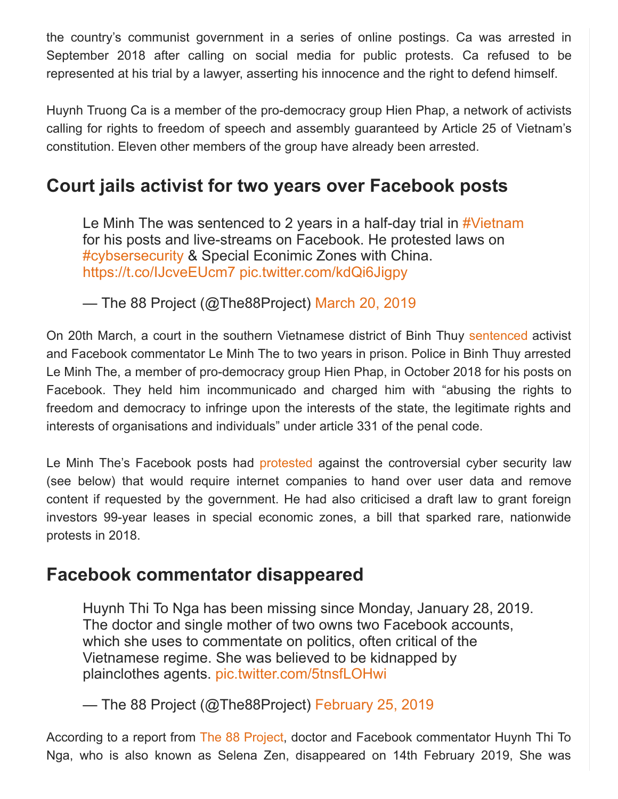the country's communist government in a series of online postings. Ca was arrested in September 2018 after calling on social media for public protests. Ca refused to be represented at his trial by a lawyer, asserting his innocence and the right to defend himself.

Huynh Truong Ca is a member of the pro-democracy group Hien Phap, a network of activists calling for rights to freedom of speech and assembly guaranteed by Article 25 of Vietnam's constitution. Eleven other members of the group have already been arrested.

### **Court jails activist for two years over Facebook posts**

Le Minh The was sentenced to 2 years in a half-day trial in [#Vietnam](https://twitter.com/hashtag/Vietnam?src=hash&ref_src=twsrc%5Etfw) for his posts and live-streams on Facebook. He protested laws on [#cybsersecurity](https://twitter.com/hashtag/cybsersecurity?src=hash&ref_src=twsrc%5Etfw) & Special Econimic Zones with China. <https://t.co/IJcveEUcm7> [pic.twitter.com/kdQi6Jigpy](https://t.co/kdQi6Jigpy)

— The 88 Project (@The88Project) [March 20, 2019](https://twitter.com/The88Project/status/1108357785534763014?ref_src=twsrc%5Etfw)

On 20th March, a court in the southern Vietnamese district of Binh Thuy [sentenced](https://www.rfa.org/english/news/vietnam/facebook-sentence-03202019165210.html) activist and Facebook commentator Le Minh The to two years in prison. Police in Binh Thuy arrested Le Minh The, a member of pro-democracy group Hien Phap, in October 2018 for his posts on Facebook. They held him incommunicado and charged him with "abusing the rights to freedom and democracy to infringe upon the interests of the state, the legitimate rights and interests of organisations and individuals" under article 331 of the penal code.

Le Minh The's Facebook posts had [protested](https://www.scmp.com/news/asia/southeast-asia/article/3002555/vietnam-jails-dissident-reactionary-facebook-posts) against the controversial cyber security law (see below) that would require internet companies to hand over user data and remove content if requested by the government. He had also criticised a draft law to grant foreign investors 99-year leases in special economic zones, a bill that sparked rare, nationwide protests in 2018.

#### **Facebook commentator disappeared**

Huynh Thi To Nga has been missing since Monday, January 28, 2019. The doctor and single mother of two owns two Facebook accounts, which she uses to commentate on politics, often critical of the Vietnamese regime. She was believed to be kidnapped by plainclothes agents. [pic.twitter.com/5tnsfLOHwi](https://t.co/5tnsfLOHwi)

— The 88 Project (@The88Project) [February 25, 2019](https://twitter.com/The88Project/status/1100169444670824448?ref_src=twsrc%5Etfw)

According to a report from [The 88 Project,](https://the88project.org/2019/02/25/vietnam-free-expression-newsletter-no-8-2019-week-of-february-18-24/) doctor and Facebook commentator Huynh Thi To Nga, who is also known as Selena Zen, disappeared on 14th February 2019, She was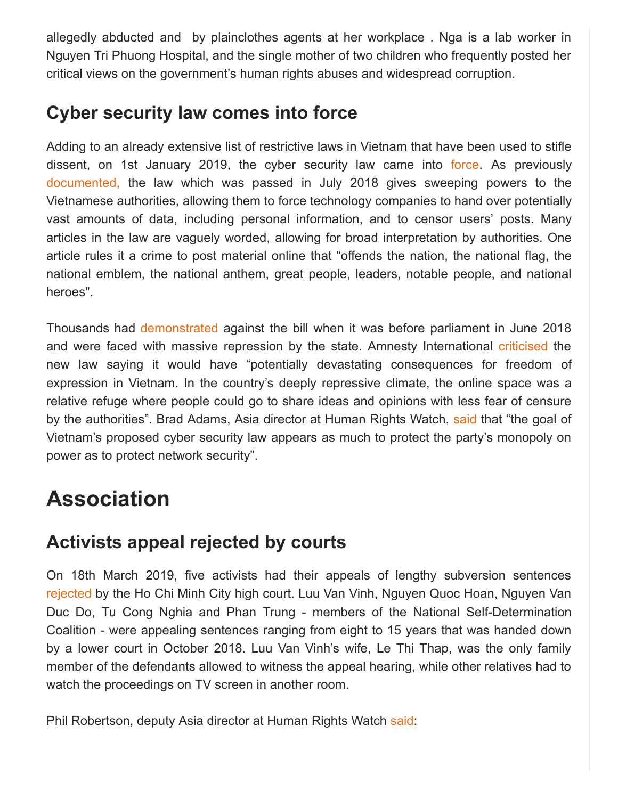allegedly abducted and by plainclothes agents at her workplace . Nga is a lab worker in Nguyen Tri Phuong Hospital, and the single mother of two children who frequently posted her critical views on the government's human rights abuses and widespread corruption.

### **Cyber security law comes into force**

Adding to an already extensive list of restrictive laws in Vietnam that have been used to stifle dissent, on 1st January 2019, the cyber security law came into [force.](https://thediplomat.com/2019/01/vietnams-controversial-cybersecurity-law-spells-tough-times-for-activists/) As previously [documented,](https://monitor.civicus.org/newsfeed/2018/09/05/vietnamese-activists-face-imprisonment-attacks-and-arbitrary-prison-transfers/) the law which was passed in July 2018 gives sweeping powers to the Vietnamese authorities, allowing them to force technology companies to hand over potentially vast amounts of data, including personal information, and to censor users' posts. Many articles in the law are vaguely worded, allowing for broad interpretation by authorities. One article rules it a crime to post material online that "offends the nation, the national flag, the national emblem, the national anthem, great people, leaders, notable people, and national heroes".

Thousands had [demonstrated](https://monitor.civicus.org/newsfeed/2018/06/11/police-detain-and-beat-protestors-demonstrating-against-new-laws/) against the bill when it was before parliament in June 2018 and were faced with massive repression by the state. Amnesty International [criticised](https://thediplomat.com/2019/01/vietnams-controversial-cybersecurity-law-spells-tough-times-for-activists/) the new law saying it would have "potentially devastating consequences for freedom of expression in Vietnam. In the country's deeply repressive climate, the online space was a relative refuge where people could go to share ideas and opinions with less fear of censure by the authorities". Brad Adams, Asia director at Human Rights Watch, [said](https://thediplomat.com/2019/01/vietnams-controversial-cybersecurity-law-spells-tough-times-for-activists/) that "the goal of Vietnam's proposed cyber security law appears as much to protect the party's monopoly on power as to protect network security".

# **Association**

### **Activists appeal rejected by courts**

On 18th March 2019, five activists had their appeals of lengthy subversion sentences [rejected](https://www.rfa.org/english/news/vietnam/trial-activists-03182019173557.html) by the Ho Chi Minh City high court. Luu Van Vinh, Nguyen Quoc Hoan, Nguyen Van Duc Do, Tu Cong Nghia and Phan Trung - members of the National Self-Determination Coalition - were appealing sentences ranging from eight to 15 years that was handed down by a lower court in October 2018. Luu Van Vinh's wife, Le Thi Thap, was the only family member of the defendants allowed to witness the appeal hearing, while other relatives had to watch the proceedings on TV screen in another room.

Phil Robertson, deputy Asia director at Human Rights Watch [said](https://www.hrw.org/news/2019/03/14/vietnam-6-activists-headed-prison):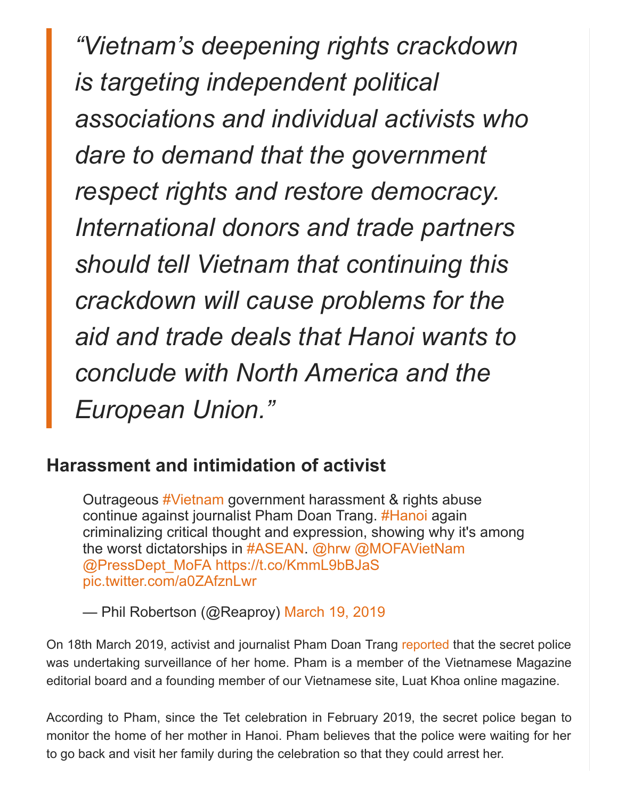*"Vietnam's deepening rights crackdown is targeting independent political associations and individual activists who dare to demand that the government respect rights and restore democracy. International donors and trade partners should tell Vietnam that continuing this crackdown will cause problems for the aid and trade deals that Hanoi wants to conclude with North America and the European Union."*

#### **Harassment and intimidation of activist**

Outrageous [#Vietnam](https://twitter.com/hashtag/Vietnam?src=hash&ref_src=twsrc%5Etfw) government harassment & rights abuse continue against journalist Pham Doan Trang. [#Hanoi](https://twitter.com/hashtag/Hanoi?src=hash&ref_src=twsrc%5Etfw) again criminalizing critical thought and expression, showing why it's among the worst dictatorships in [#ASEAN.](https://twitter.com/hashtag/ASEAN?src=hash&ref_src=twsrc%5Etfw) [@hrw](https://twitter.com/hrw?ref_src=twsrc%5Etfw) [@MOFAVietNam](https://twitter.com/MOFAVietNam?ref_src=twsrc%5Etfw) [@PressDept\\_MoFA](https://twitter.com/PressDept_MoFA?ref_src=twsrc%5Etfw) <https://t.co/KmmL9bBJaS> [pic.twitter.com/a0ZAfznLwr](https://t.co/a0ZAfznLwr)

— Phil Robertson (@Reaproy) [March 19, 2019](https://twitter.com/Reaproy/status/1107799751750148097?ref_src=twsrc%5Etfw)

On 18th March 2019, activist and journalist Pham Doan Trang [reported](https://www.thevietnamese.org/2019/03/vietnam-stop-the-continued-harassment-and-intimidation-of-our-editor-pham-doan-trang/) that the secret police was undertaking surveillance of her home. Pham is a member of the Vietnamese Magazine editorial board and a founding member of our Vietnamese site, Luat Khoa online magazine.

According to Pham, since the Tet celebration in February 2019, the secret police began to monitor the home of her mother in Hanoi. Pham believes that the police were waiting for her to go back and visit her family during the celebration so that they could arrest her.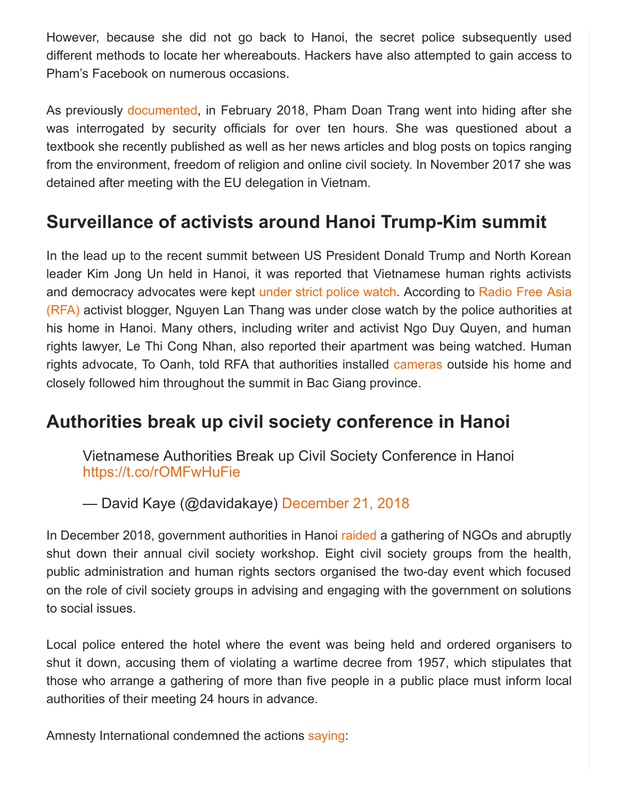However, because she did not go back to Hanoi, the secret police subsequently used different methods to locate her whereabouts. Hackers have also attempted to gain access to Pham's Facebook on numerous occasions.

As previously [documented,](https://monitor.civicus.org/newsfeed/2018/03/22/protests-against-toxic-spill-continue-despite-persecution-environmental-activists/) in February 2018, Pham Doan Trang went into hiding after she was interrogated by security officials for over ten hours. She was questioned about a textbook she recently published as well as her news articles and blog posts on topics ranging from the environment, freedom of religion and online civil society. In November 2017 she was detained after meeting with the EU delegation in Vietnam.

### **Surveillance of activists around Hanoi Trump-Kim summit**

In the lead up to the recent summit between US President Donald Trump and North Korean leader Kim Jong Un held in Hanoi, it was reported that Vietnamese human rights activists [and democracy advocates were kept under strict police watch. According to Radio Free Asia](https://www.rfa.org/english/news/vietnam/wraps-02262019152204.html) (RFA) activist blogger, Nguyen Lan Thang was under close watch by the police authorities at his home in Hanoi. Many others, including writer and activist Ngo Duy Quyen, and human rights lawyer, Le Thi Cong Nhan, also reported their apartment was being watched. Human rights advocate, To Oanh, told RFA that authorities installed [cameras](https://www.rfa.org/english/news/vietnam/wraps-02262019152204.html) outside his home and closely followed him throughout the summit in Bac Giang province.

### **Authorities break up civil society conference in Hanoi**

Vietnamese Authorities Break up Civil Society Conference in Hanoi <https://t.co/rOMFwHuFie>

— David Kaye (@davidakaye) [December 21, 2018](https://twitter.com/davidakaye/status/1076087838549016578?ref_src=twsrc%5Etfw)

In December 2018, government authorities in Hanoi [raided](https://www.rfa.org/english/news/vietnam/vietnamese-authorities-break-up-civil-society-conference-12202018171124.html) a gathering of NGOs and abruptly shut down their annual civil society workshop. Eight civil society groups from the health, public administration and human rights sectors organised the two-day event which focused on the role of civil society groups in advising and engaging with the government on solutions to social issues.

Local police entered the hotel where the event was being held and ordered organisers to shut it down, accusing them of violating a wartime decree from 1957, which stipulates that those who arrange a gathering of more than five people in a public place must inform local authorities of their meeting 24 hours in advance.

Amnesty International condemned the actions [saying:](https://www.amnesty.org/en/latest/news/2018/12/viet-nam-police-raid-major-meeting-local-ngos-alarming-repression/)